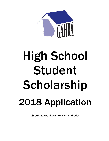

# High School Student Scholarship

## 2018 Application

Submit to your Local Housing Authority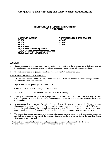## HIGH SCHOOL STUDENT SCHOLARSHIP 2018 PROGRAM

ACADEMIC AWARDS<br>
\$5,000 \$2,500 \$2,500 \$2,000<br>
\$1,500 \$1,500 \$1,500 \$1,500 \$1,500<br>
\$1,000 \$1,500 SERC<br>
\$1,000 SERC Continuing Award<br>
\$2,500 Don McGlamory Memorial Award<br>\$1,000 GAHRA Continuing Award

## ELIGIBILITY

- 1. Current resident, with at least two years of residency (not required to be consecutive), of federally assisted housing or as a recipient of assistance through the Community Development Block Grant Program.
- 2. Graduated or expected to graduate from High School in the 2017-2018 school year.

#### HOW TO APPLY AND WHAT YOU WILL NEED

- 1. A Completed Electronic and Hard Copy Application. Applications are available at your Housing Authority or Community Development Office.
- 2. High School Transcript through December 31, 2017.
- 3. Copy of SAT/ACT scores, if completed and available.
- 4. Source and amount of other scholarship awards, received or pending.
- 5. Three letters supporting the character, achievements, and advancement of applicant. One letter must be from a school official. The other letters may be from employers, ministers, or anyone with significant knowledge of the applicant.
- 6. A sponsorship letter from the Executive Director of your Housing Authority or the Director of your Community Development Program. The sponsoring agency must be an active member of GAHRA at the time of the application and they can only submit one academic (degree) and one technical/vocational (nondegree) application to the Scholarship Committee for the high school student award selection process.
- 7. The sponsoring agency must make a commitment to support travel expenses if their applicant(s) should be selected for an interview as one of the finalists. Finalists will be interviewed during the GAHRA Spring Conference, May 20-22, 2017

Applicants are responsible for gathering and submitting all necessary information by the deadline. All of the above must be submitted in order for the application to be considered.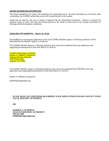#### AWARD DISTRIBUTION INFORMATION

The school attended by the winner will administer the scholarship award. If tuition and books are covered by other scholarships, the GAHRA scholarship award will be paid directly to the student.

Funds may be used for one year or longer if approved by the Scholarship Committee. Failure to continue the required course of study will cause the unused portion of the funds to revert back to the Georgia Association of Housing and Redevelopment Authorities.

#### DEADLINES FOR SUBMITTAL – March 23, 2018

The deadline for returning the application to the local GAHRA Member Agency or Housing Authority will be determined by the Member Agency or Authority.

The GAHRA Member Agency or Housing Authority must return the completed hard-copy application and supporting documentation no later than March 23, 2018 to:

GAHRA Scholarship Committee Harden A. Oldfield, Chairperson Augusta Housing Authority 1435 Walton Way Augusta, GA 30901

The GAHRA Member Agency or Housing Authority must return the completed ELECTRONIC hard-copy application and supporting documentation no later than March 23, 2018 to:

Harden A. Oldfield, Chairperson

boldfield@augustapha.org

### **IF YOU HAVE ANY QUESTIONS REGARDING YOUR APPLICATION, PLEASE CONTACT YOUR LOCAL HOUSING AUTHORITY**

**OR** 

**HARDEN A. OLDFIELD AUGUSTA HOUSING AUTHORITY 706-312-3100 boldfield@augustapha.org**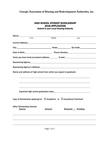| <b>HIGH SCHOOL STUDENT SCHOLARSHIP</b>        |  |
|-----------------------------------------------|--|
| <b>2018 APPLICATION</b>                       |  |
| <b>Submit to your Local Housing Authority</b> |  |

|                                                                                                                                                                                                                                | First | Middle                                                                                                                                                                                                                         | Last               |  |
|--------------------------------------------------------------------------------------------------------------------------------------------------------------------------------------------------------------------------------|-------|--------------------------------------------------------------------------------------------------------------------------------------------------------------------------------------------------------------------------------|--------------------|--|
|                                                                                                                                                                                                                                |       |                                                                                                                                                                                                                                |                    |  |
|                                                                                                                                                                                                                                |       |                                                                                                                                                                                                                                |                    |  |
| Date of Birth: 2008 Contract Contract Phone Number: 2008 Contract Contract Contract Contract Contract Contract Contract Contract Contract Contract Contract Contract Contract Contract Contract Contract Contract Contract Con |       |                                                                                                                                                                                                                                |                    |  |
| Years you have lived at present address: E-mail: E-mail: E-mail:                                                                                                                                                               |       |                                                                                                                                                                                                                                |                    |  |
| Sponsoring Agency: Management Control of the Control of the Control of the Control of the Control of the Control of the Control of the Control of the Control of the Control of the Control of the Control of the Control of t |       |                                                                                                                                                                                                                                |                    |  |
| Sponsoring Agency's Address: Manual Community of Sponsoring Agency's Address:                                                                                                                                                  |       |                                                                                                                                                                                                                                |                    |  |
| Name and address of high school from which you expect to graduate:                                                                                                                                                             |       |                                                                                                                                                                                                                                |                    |  |
|                                                                                                                                                                                                                                |       |                                                                                                                                                                                                                                |                    |  |
|                                                                                                                                                                                                                                |       |                                                                                                                                                                                                                                |                    |  |
|                                                                                                                                                                                                                                |       |                                                                                                                                                                                                                                |                    |  |
|                                                                                                                                                                                                                                |       | Expected high school graduation date: North Management Communist Communist Communist Communist Communist Communist Communist Communist Communist Communist Communist Communist Communist Communist Communist Communist Communi |                    |  |
| Type of Scholarship applying for: $\Box$ Academic or $\Box$ Vocational/Technical                                                                                                                                               |       |                                                                                                                                                                                                                                |                    |  |
| <b>Other Scholarship Awards:</b><br><b>Source</b>                                                                                                                                                                              |       | <b>Amount</b>                                                                                                                                                                                                                  | Received / Pending |  |
|                                                                                                                                                                                                                                |       |                                                                                                                                                                                                                                |                    |  |
|                                                                                                                                                                                                                                |       |                                                                                                                                                                                                                                |                    |  |
|                                                                                                                                                                                                                                |       |                                                                                                                                                                                                                                |                    |  |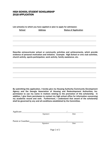## HIGH SCHOOL STUDENT SCHOLARSHIP 2018 APPLICATION

List school(s) to which you have applied or plan to apply for admission:

School **Address** Status of Application

Describe extracurricular school or community activities and achievements, which provide evidence of personal motivation and initiative. Example: High School or civic club activities, church activity, sports participation, work activity, family assistance, etc.

By submitting this application, I hereby give my Housing Authority/Community Development Agency and the Georgia Association of Housing and Redevelopment Authorities, Inc. permission to use my name in matters relating to the promotion of this scholarship. In addition, I give them permission to contact my high school office for information concerning my academic record and rank. Furthermore, I understand that award of the scholarship shall be governed by any and all conditions established by the Committee.

| Applicant:          |           |      |  |
|---------------------|-----------|------|--|
|                     | Signature | Date |  |
|                     |           |      |  |
| Parent or Guardian: |           |      |  |
|                     | Signature | Date |  |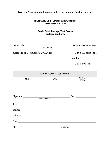## HIGH SCHOOL STUDENT SCHOLARSHIP 2018 APPLICATION

## Grade Point Average/Test Scores Certification Form

| I certify that                        | 's cumulative grade point          |
|---------------------------------------|------------------------------------|
| Name of Student                       |                                    |
| average as of December 31, 2018, was: | $\frac{1}{2}$ on a 100 point scale |
|                                       | (and/or)                           |
|                                       | $\prime$ on a 4.00 scale           |

| <b>Other Scores / Test Results</b> |            |                         |
|------------------------------------|------------|-------------------------|
| <b>ACT</b>                         | <b>SAT</b> | <b>GHSGT</b><br>Writing |
|                                    |            |                         |

| Signature: |                 | Date:     |  |  |  |
|------------|-----------------|-----------|--|--|--|
|            | School Official |           |  |  |  |
|            |                 |           |  |  |  |
| School:    |                 |           |  |  |  |
| Address:   |                 |           |  |  |  |
|            |                 |           |  |  |  |
| State:     |                 | Zip Code: |  |  |  |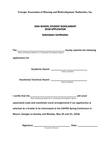## HIGH SCHOOL STUDENT SCHOLARSHIP 2018 APPLICATION

## Submission Certification

| The $\_{\_}$      |                                                                                                                        |
|-------------------|------------------------------------------------------------------------------------------------------------------------|
|                   | Name of Housing Authority or Community Development Agency<br>Name of Housing Authority or Community Development Agency |
| applicant(s) for: |                                                                                                                        |
|                   |                                                                                                                        |
|                   |                                                                                                                        |
|                   |                                                                                                                        |
|                   |                                                                                                                        |
|                   |                                                                                                                        |
|                   | Vocational/Technical Award - Mame of Student                                                                           |
|                   |                                                                                                                        |
|                   |                                                                                                                        |
|                   |                                                                                                                        |
|                   | I certify that the $\frac{1}{\text{Name of Housing Authority or Community Development Agency}}$ will cover             |
|                   |                                                                                                                        |
|                   | associated costs and coordinate travel arrangements if our applicant(s) is                                             |
|                   | selected as a finalist to be interviewed at the GAHRA Spring Conference in                                             |
|                   |                                                                                                                        |
|                   | Macon, Georgia on Sunday and Monday, May 20 and 21, 2018.                                                              |
|                   |                                                                                                                        |
|                   | Date:                                                                                                                  |
|                   | <b>Executive Director</b>                                                                                              |